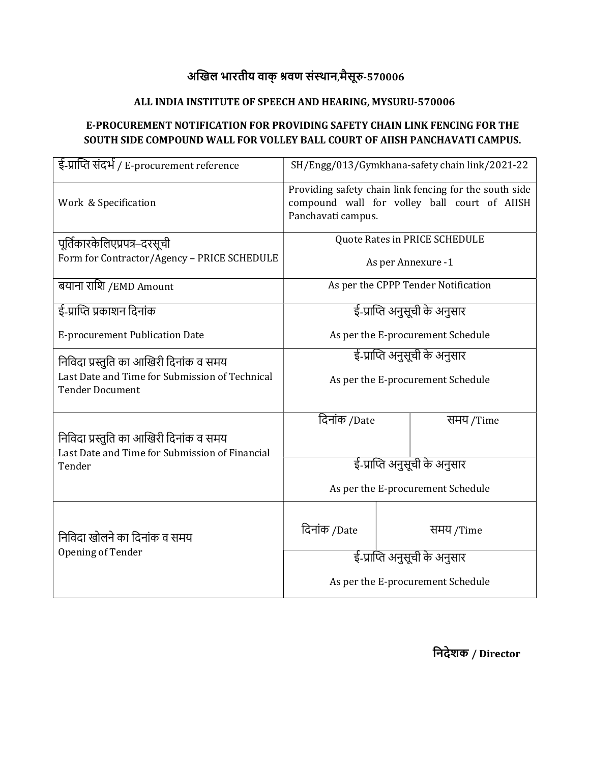## अखिल भारतीय वाक् श्रवण संस्थान,मैसूरु-570006

### ALL INDIA INSTITUTE OF SPEECH AND HEARING, MYSURU-570006

### E-PROCUREMENT NOTIFICATION FOR PROVIDING SAFETY CHAIN LINK FENCING FOR THE SOUTH SIDE COMPOUND WALL FOR VOLLEY BALL COURT OF AIISH PANCHAVATI CAMPUS.

| ई-प्राप्ति संदर्भ / E-procurement reference                                              | SH/Engg/013/Gymkhana-safety chain link/2021-22                                                                               |           |  |  |  |
|------------------------------------------------------------------------------------------|------------------------------------------------------------------------------------------------------------------------------|-----------|--|--|--|
| Work & Specification                                                                     | Providing safety chain link fencing for the south side<br>compound wall for volley ball court of AIISH<br>Panchavati campus. |           |  |  |  |
| पूर्तिकारकेलिएप्रपत्र–दरसूची                                                             | Quote Rates in PRICE SCHEDULE                                                                                                |           |  |  |  |
| Form for Contractor/Agency - PRICE SCHEDULE                                              | As per Annexure -1                                                                                                           |           |  |  |  |
| बयाना राशि /EMD Amount                                                                   | As per the CPPP Tender Notification                                                                                          |           |  |  |  |
| ई-प्राप्ति प्रकाशन दिनांक                                                                | ई-प्राप्ति अनुसूची के अनुसार                                                                                                 |           |  |  |  |
| <b>E-procurement Publication Date</b>                                                    | As per the E-procurement Schedule                                                                                            |           |  |  |  |
| निविदा प्रस्तुति का आखिरी दिनांक व समय                                                   | ई-प्राप्ति अनुसूची के अनुसार                                                                                                 |           |  |  |  |
| Last Date and Time for Submission of Technical<br><b>Tender Document</b>                 | As per the E-procurement Schedule                                                                                            |           |  |  |  |
|                                                                                          | दिनांक /Date                                                                                                                 | समय /Time |  |  |  |
| निविदा प्रस्तुति का आखिरी दिनांक व समय<br>Last Date and Time for Submission of Financial |                                                                                                                              |           |  |  |  |
| Tender                                                                                   | ई-प्राप्ति अनुसूची के अनुसार                                                                                                 |           |  |  |  |
|                                                                                          | As per the E-procurement Schedule                                                                                            |           |  |  |  |
| निविदा खोलने का दिनांक व समय                                                             | दिनांक /Date                                                                                                                 | समय /Time |  |  |  |
| Opening of Tender                                                                        | ई-प्राप्ति अनुसूची के अनुसार                                                                                                 |           |  |  |  |
|                                                                                          | As per the E-procurement Schedule                                                                                            |           |  |  |  |

िनदेशक / Director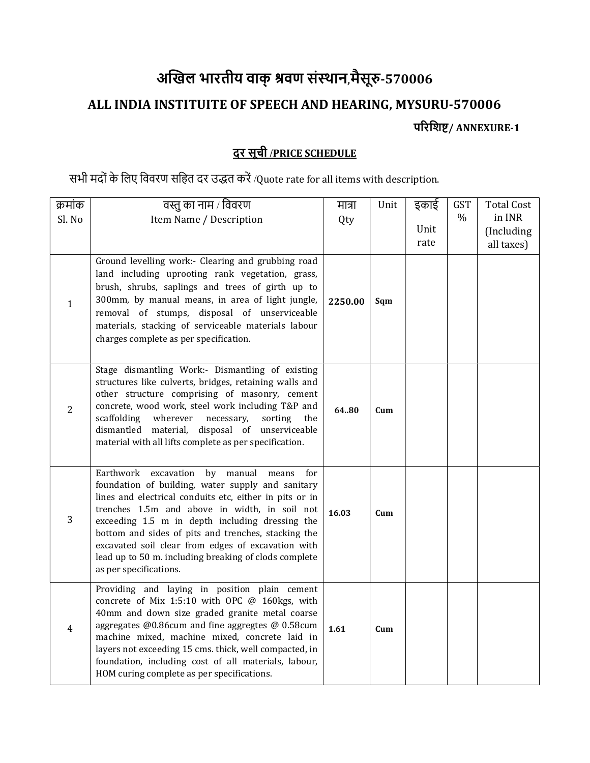# अखिल भारतीय वाक् श्रवण संस्थान,मैसूरु-570006

# ALL INDIA INSTITUITE OF SPEECH AND HEARING, MYSURU-570006

परिशिष्ट/ ANNEXURE-1

### दर सूची /PRICE SCHEDULE

### सभी मदों के लिए विवरण सहित दर उद्धत करें /Quote rate for all items with description.

| क्रमांक        | वस्तु का नाम / विवरण                                                                                                                                                                                                                                                                                                                                                                                                                                                        | मात्रा  | Unit | इकाई | <b>GST</b> | <b>Total Cost</b> |
|----------------|-----------------------------------------------------------------------------------------------------------------------------------------------------------------------------------------------------------------------------------------------------------------------------------------------------------------------------------------------------------------------------------------------------------------------------------------------------------------------------|---------|------|------|------------|-------------------|
| Sl. No         | Item Name / Description                                                                                                                                                                                                                                                                                                                                                                                                                                                     | Qty     |      |      | %          | in INR            |
|                |                                                                                                                                                                                                                                                                                                                                                                                                                                                                             |         |      | Unit |            | (Including        |
|                |                                                                                                                                                                                                                                                                                                                                                                                                                                                                             |         |      | rate |            | all taxes)        |
| $\mathbf{1}$   | Ground levelling work:- Clearing and grubbing road<br>land including uprooting rank vegetation, grass,<br>brush, shrubs, saplings and trees of girth up to<br>300mm, by manual means, in area of light jungle,<br>removal of stumps, disposal of unserviceable<br>materials, stacking of serviceable materials labour<br>charges complete as per specification.                                                                                                             | 2250.00 | Sqm  |      |            |                   |
| $\overline{2}$ | Stage dismantling Work:- Dismantling of existing<br>structures like culverts, bridges, retaining walls and<br>other structure comprising of masonry, cement<br>concrete, wood work, steel work including T&P and<br>scaffolding<br>wherever<br>necessary,<br>sorting<br>the<br>dismantled material, disposal of unserviceable<br>material with all lifts complete as per specification.                                                                                     | 64.80   | Cum  |      |            |                   |
| 3              | Earthwork<br>excavation<br>by<br>manual<br>means<br>for<br>foundation of building, water supply and sanitary<br>lines and electrical conduits etc, either in pits or in<br>trenches 1.5m and above in width, in soil not<br>exceeding 1.5 m in depth including dressing the<br>bottom and sides of pits and trenches, stacking the<br>excavated soil clear from edges of excavation with<br>lead up to 50 m. including breaking of clods complete<br>as per specifications. | 16.03   | Cum  |      |            |                   |
| $\overline{4}$ | Providing and laying in position plain cement<br>concrete of Mix 1:5:10 with OPC @ 160kgs, with<br>40mm and down size graded granite metal coarse<br>aggregates @0.86cum and fine aggregtes @ 0.58cum<br>machine mixed, machine mixed, concrete laid in<br>layers not exceeding 15 cms. thick, well compacted, in<br>foundation, including cost of all materials, labour,<br>HOM curing complete as per specifications.                                                     | 1.61    | Cum  |      |            |                   |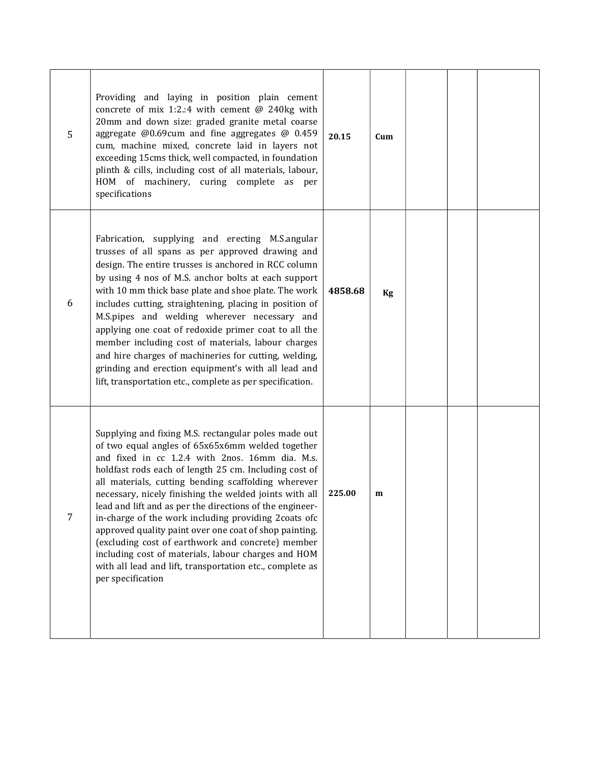| 5 | Providing and laying in position plain cement<br>concrete of mix 1:2.:4 with cement $@$ 240kg with<br>20mm and down size: graded granite metal coarse<br>aggregate @0.69cum and fine aggregates @ 0.459<br>cum, machine mixed, concrete laid in layers not<br>exceeding 15cms thick, well compacted, in foundation<br>plinth & cills, including cost of all materials, labour,<br>HOM of machinery, curing complete as<br>per<br>specifications                                                                                                                                                                                                                                                                  | 20.15   | Cum |  |  |
|---|------------------------------------------------------------------------------------------------------------------------------------------------------------------------------------------------------------------------------------------------------------------------------------------------------------------------------------------------------------------------------------------------------------------------------------------------------------------------------------------------------------------------------------------------------------------------------------------------------------------------------------------------------------------------------------------------------------------|---------|-----|--|--|
| 6 | Fabrication, supplying and erecting M.S.angular<br>trusses of all spans as per approved drawing and<br>design. The entire trusses is anchored in RCC column<br>by using 4 nos of M.S. anchor bolts at each support<br>with 10 mm thick base plate and shoe plate. The work<br>includes cutting, straightening, placing in position of<br>M.S.pipes and welding wherever necessary and<br>applying one coat of redoxide primer coat to all the<br>member including cost of materials, labour charges<br>and hire charges of machineries for cutting, welding,<br>grinding and erection equipment's with all lead and<br>lift, transportation etc., complete as per specification.                                 | 4858.68 | Kg  |  |  |
| 7 | Supplying and fixing M.S. rectangular poles made out<br>of two equal angles of 65x65x6mm welded together<br>and fixed in cc 1.2.4 with 2nos. 16mm dia. M.s.<br>holdfast rods each of length 25 cm. Including cost of<br>all materials, cutting bending scaffolding wherever<br>necessary, nicely finishing the welded joints with all<br>lead and lift and as per the directions of the engineer-<br>in-charge of the work including providing 2coats ofc<br>approved quality paint over one coat of shop painting.<br>(excluding cost of earthwork and concrete) member<br>including cost of materials, labour charges and HOM<br>with all lead and lift, transportation etc., complete as<br>per specification | 225.00  | m   |  |  |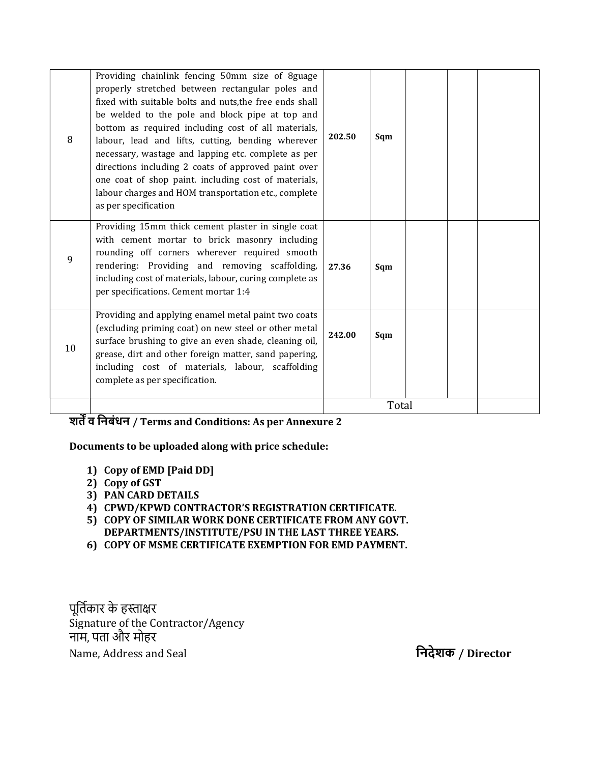| 8  | Providing chainlink fencing 50mm size of 8guage<br>properly stretched between rectangular poles and<br>fixed with suitable bolts and nuts, the free ends shall<br>be welded to the pole and block pipe at top and<br>bottom as required including cost of all materials,<br>labour, lead and lifts, cutting, bending wherever<br>necessary, wastage and lapping etc. complete as per<br>directions including 2 coats of approved paint over<br>one coat of shop paint. including cost of materials,<br>labour charges and HOM transportation etc., complete<br>as per specification | 202.50 | Sqm   |  |
|----|-------------------------------------------------------------------------------------------------------------------------------------------------------------------------------------------------------------------------------------------------------------------------------------------------------------------------------------------------------------------------------------------------------------------------------------------------------------------------------------------------------------------------------------------------------------------------------------|--------|-------|--|
| 9  | Providing 15mm thick cement plaster in single coat<br>with cement mortar to brick masonry including<br>rounding off corners wherever required smooth<br>rendering: Providing and removing scaffolding,<br>including cost of materials, labour, curing complete as<br>per specifications. Cement mortar 1:4                                                                                                                                                                                                                                                                          | 27.36  | Sqm   |  |
| 10 | Providing and applying enamel metal paint two coats<br>(excluding priming coat) on new steel or other metal<br>surface brushing to give an even shade, cleaning oil,<br>grease, dirt and other foreign matter, sand papering,<br>including cost of materials, labour, scaffolding<br>complete as per specification.                                                                                                                                                                                                                                                                 | 242.00 | Sqm   |  |
|    |                                                                                                                                                                                                                                                                                                                                                                                                                                                                                                                                                                                     |        | Total |  |

#### शतें व निबंधन / Terms and Conditions: As per Annexure 2

#### Documents to be uploaded along with price schedule:

- 1) Copy of EMD [Paid DD]
- 2) Copy of GST
- 3) PAN CARD DETAILS
- 4) CPWD/KPWD CONTRACTOR'S REGISTRATION CERTIFICATE.
- 5) COPY OF SIMILAR WORK DONE CERTIFICATE FROM ANY GOVT.
- DEPARTMENTS/INSTITUTE/PSU IN THE LAST THREE YEARS.
- 6) COPY OF MSME CERTIFICATE EXEMPTION FOR EMD PAYMENT.

पूर्तिकार के हस्ताक्षर Signature of the Contractor/Agency नाम, पता और मोहर Name, Address and Seal िनदेशक / Director